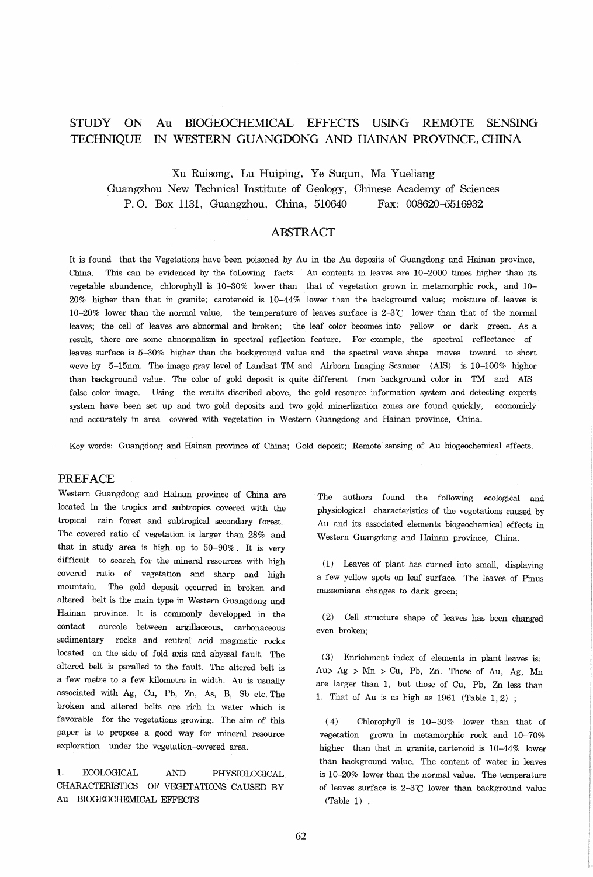#### STUDY ON TECHNIQUE IN WESTERN GUANGOONG AND HAINAN PROVINCE, CHINA Au BIOGEOCHEMICAL EFFECTS USING REMOTE SENSING

Xu Ruisong, Lu Huiping, Ye Suqun, Ma Yueliang Guangzhou New Technical Institute of Geology, Chinese Academy of Sciences P. O. Box 1131, Guangzhou, China, 510640 Fax: 008620-5516932

# ABSTRACT

It is found that the Vegetations have been poisoned by Au in the Au deposits of Guangdong and Hainan province, China. This can be evidenced by the following facts: Au contents in leaves are 10-2000 times higher than its vegetable abundence, chlorophyll is 10-30% lower than that of vegetation grown in metamorphic rock, and 10- 20% higher than that in granite; carotenoid is 10-44% lower than the background value; moisture of leaves is 10-20% lower than the normal value; the temperature of leaves surface is  $2-3^{\circ}$  lower than that of the normal leaves; the cell of leaves are abnormal and broken; the leaf color becomes into yellow or dark green. As a result, there are some abnormalism in spectral reflection feature. For example, the spectral reflectance of leaves surface is 5-30% higher than the background value and the spectral wave shape moves toward to short weve by 5-15nm. The image gray level of Landsat TM and Airborn Imaging Scanner (AIS) is 10-100% higher than background value. The color of gold deposit is quite different from background color in TM and AIS false color image. Using the results discribed above, the gold resource information system and detecting experts system have been set up and two gold deposits and two gold minerlization zones are found quickly, economicly and accurately in area covered with vegetation in Western Guangdong and Hainan province, China.

Key words: Guangdong and Hainan province of China; Gold deposit; Remote sensing of Au biogeochemical effects.

## PREFACE

Western Guangdong and Hainan province of China are located in the tropics and subtropics covered with the tropical rain forest and subtropical secondary forest. The covered ratio of vegetation is larger than 28% and that in study area is high up to 50-90%. It is very difficult to search for the mineral resources with high covered ratio of vegetation and sharp and high mountain. The gold deposit occurred in broken and altered belt is the main type in Western Guangdong and Hainan province. It is commonly developped in the contact aureole between argillaceous, carbonaceous sedimentary rocks and reutral acid magmatic rocks located on the side of fold axis and abyssal fault. The altered belt is paralled to the fault. The altered belt is a few metre to a few kilometre in width. Au is usually associated with Ag, Cu, Pb, Zn, As, B, Sb etc. The broken and altered belts are rich in water which is favorable for the vegetations growing. The aim of this paper is to propose a good way for mineral resource exploration under the vegetation-covered area.

1. ECOLOGICAL AND PHYSIOLOGICAL CHARACTERISTICS OF VEGETATIONS CAUSED BY Au BIOGEOCHEMICAL EFFECTS

The authors found the following ecological and physiological characteristics of the vegetations caused by Au and its associated elements biogeochemical effects in Western Guangdong and Hainan province, China.

(1) Leaves of plant has curned into small, displaying a few yellow spots on leaf surface. The leaves of Pinus massoniana changes to dark green;

(2) Cell structure shape of leaves has been changed even broken;

(3) Enrichment index of elements in plant leaves is:  $Au > Ag > Mn > Cu$ , Pb, Zn. Those of Au, Ag, Mn are larger than 1, but those of Cu, Pb, Zn less than 1. That of Au is as high as  $1961$  (Table  $1, 2$ );

(4) Chlorophyll is 10-30% lower than that of vegetation grown in metamorphic rock and 10-70% higher than that in granite, cartenoid is 10-44% lower than background value. The content of water in leaves is 10-20% lower than the normal value. The temperature of leaves surface is  $2-3$ °C lower than background value (Table 1) .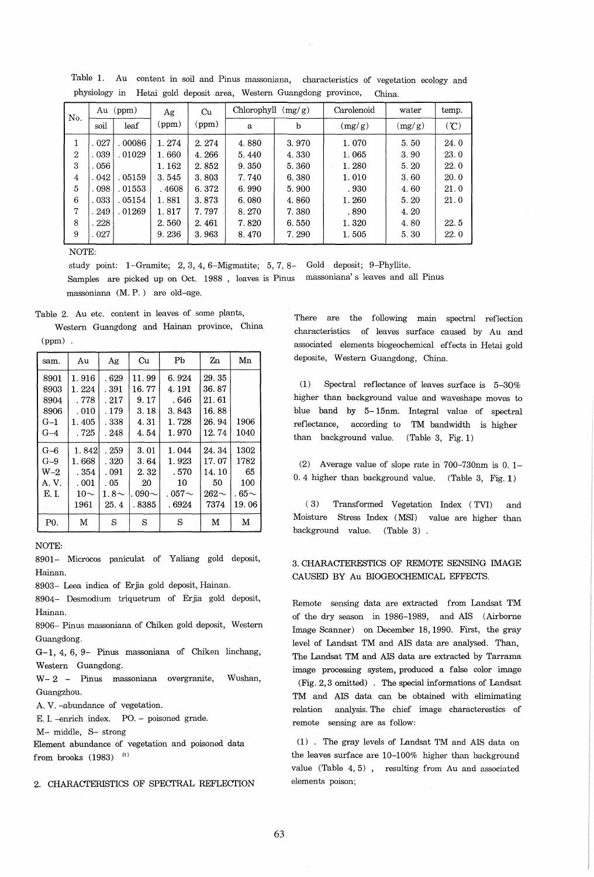| No.          | Au<br>(ppm) |        | Ag    | Cu    | Chlorophyll $(mg/g)$ |       | Carolenoid | water  | temp. |
|--------------|-------------|--------|-------|-------|----------------------|-------|------------|--------|-------|
|              | soil        | leaf   | (ppm) | (ppm) | a                    | b     | (mg/g)     | (mg/g) | (C)   |
| 1            | .027        | 00086  | 1.274 | 2.274 | 4.880                | 3.970 | 1.070      | 5.50   | 24.0  |
| $\mathbf{2}$ | .039        | .01029 | 1.660 | 4.266 | 5.440                | 4.330 | 1.065      | 3.90   | 23.0  |
| 3            | . 056       |        | 1.162 | 2.852 | 9.350                | 5.360 | 1.280      | 5.20   | 22.0  |
| 4            | .042        | .05159 | 3.545 | 3.803 | 7.740                | 6.380 | 1.010      | 3.60   | 20.0  |
| 5            | .098        | .01553 | .4608 | 6.372 | 6.990                | 5.900 | .930       | 4.60   | 21.0  |
| 6            | .033        | .05154 | 1.881 | 3.873 | 6.080                | 4.860 | 1.260      | 5.20   | 21.0  |
| 7            | 249         | .01269 | 1.817 | 7.797 | 8.270                | 7.380 | .890       | 4.20   |       |
| 8            | . 228       |        | 2.560 | 2.461 | 7.820                | 6.550 | 1.320      | 4.80   | 22.5  |
| 9            | .027        |        | 9.236 | 3.963 | 8.470                | 7.290 | 1.505      | 5.30   | 22.0  |

Table 1. Au content in soil and Pinus massoniana, characteristics of vegetation ecology and physiology in Hetai gold deposit area, Western Guangdong province, China.

NOTE:

study point: 1-Gramite; 2,3,4, 6-Migmatite; 5,7,8- Gold deposit; 9-Phyllite. Samples are picked up on Oct. 1988 , leaves is Pinus massoniana' s leaves and all Pinus massoniana (M. P.) are old-age.

Table 2. Au etc. content in leaves of some plants, Western Guangdong and Hainan province, China

(ppm) .

| sam.           | Au        |            | Cu           | Pb           | Zn        | Mn          |
|----------------|-----------|------------|--------------|--------------|-----------|-------------|
| 8901           | 1.916     | .629       | 11.99        | 6.924        | 29.35     |             |
| 8903           | 1.224     | . 391      | 16.77        | 4.191        | 36.87     |             |
| 8904           | . 778     | .217       | 9.17         | . 646        | 21.61     |             |
| 8906           | .010      | . 179      | 3.18         | 3.843        | 16.88     |             |
| $G-1$          | 1.405     | . 338      | 4.31         | 1.728        | 26.94     | 1906        |
| $G-4$          | .725      | . 248      | 4.54         | 1.970        | 12.74     | 1040        |
| $G-6$          | 1.842     | . 259      | 3.01         | 1.044        | 24.34     | 1302        |
| $G-9$          | 1.668     | . 320      | 3.64         | 1.923        | 17.07     | 1782        |
| $W-2$          | . 354     | . 091      | 2.32         | .570         | 14.10     | 65          |
| A. V.          | .001      | . 05       | 20           | 10           | 50        | 100         |
| E.I.           | 10 $\sim$ | 1.8 $\sim$ | . 090 $\sim$ | . 057 $\sim$ | $262\sim$ | . 65 $\sim$ |
|                | 1961      | 25.4       | . 8385       | . 6924       | 7374      | 19.06       |
| P <sub>0</sub> | M         | S          | S            | S            | M         | М           |

NOTE:

8901- Microcos paniculat of Yaliang gold deposit, Hainan.

8903- Leea indica of Erjia gold deposit, Hainan.

8904- Desmodium triquetrum of Erjia gold deposit, Hainan.

8906- Pinus massoniana of Chiken gold deposit, Western Guangdong.

G-1, 4, 6, 9- Pinus massoniana of Chiken linchang, Western Guangdong.

W - 2 - Pinus massoniana overgranite, Wushan, Guangzhou.

A. V. -abundance of vegetation.

E. I. -enrich index. PO. - poisoned grade.

M- middle, S- strong

Element abundance of vegetation and poisoned data from brooks  $(1983)$ <sup>[1]</sup>

2. CHARACTERISTICS OF SPECTRAL REFLECTION

There are the following main spectral reflection characteristics of leaves surface caused by Au and associated elements biogeochemical effects in Hetai gold deposite, Western Guangdong, China.

(1) Spectral reflectance of leaves surface is 5-30% higher than background value and waveshape moves to blue band by 5- 15nm. Integral value of spectral reflectance, according to TM bandwidth is higher than background value. (Table 3, Fig. 1)

(2) Average value of slope rate in 700-730nm is O. 1- 0.4 higher than background value. (Table 3, Fig. 1)

( 3) Transformed Vegetation Index (TVI) and Moisture Stress Index (MSI) value are higher than background value. (Table 3) .

## 3. CHARACTERESTICS OF REMOTE SENSING IMAGE CAUSED BY Au BIOGEOCHEMICAL EFFECTS.

Remote sensing data are extracted from Landsat TM of the dry season in 1986-1989, and AIS (Airborne Image Scanner) on December 18,1990. First, the gray level of Landsat TM and AIS data are analysed. Than, The Landsat TM and AIS data are extracted by Tarrama image processing system, produced a false color image (Fig. 2,3 omitted) . The special informations of Landsat TM and AIS data can be obtained with elimimating relation analysis. The chief image characterestics of remote sensing are as follow:

(1) . The gray levels of Landsat 'I'M and AIS data on the leaves surface are 10-100% higher than background value (Table 4,5), resulting from Au and associated elements poison;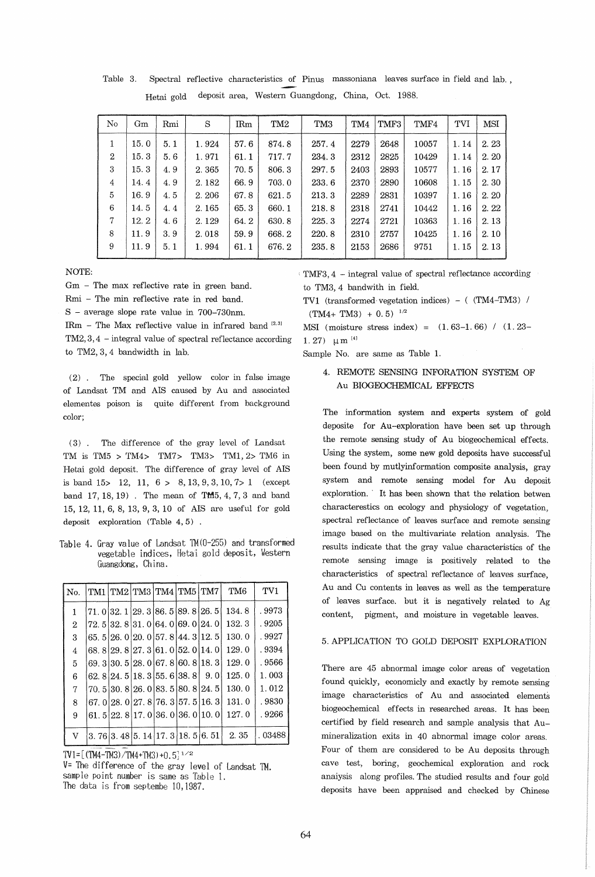| No             | Gm   | Rmi | S     | $\rm IRm$ | TM <sub>2</sub> | TM <sub>3</sub> | TM4  | TMF3 | TMF4  | TVI  | <b>MSI</b> |
|----------------|------|-----|-------|-----------|-----------------|-----------------|------|------|-------|------|------------|
| 1              | 15.0 | 5.1 | 1.924 | 57.6      | 874.8           | 257.4           | 2279 | 2648 | 10057 | 1.14 | 2.23       |
| $\overline{2}$ | 15.3 | 5.6 | 1.971 | 61.1      | 717.7           | 234.3           | 2312 | 2825 | 10429 | 1.14 | 2.20       |
| 3              | 15.3 | 4.9 | 2.365 | 70.5      | 806.3           | 297.5           | 2403 | 2893 | 10577 | 1.16 | 2.17       |
| 4              | 14.4 | 4.9 | 2.182 | 66.9      | 703.0           | 233.6           | 2370 | 2890 | 10608 | 1.15 | 2.30       |
| 5              | 16.9 | 4.5 | 2.206 | 67.8      | 621.5           | 213.3           | 2289 | 2831 | 10397 | 1.16 | 2.20       |
| 6              | 14.5 | 4.4 | 2.165 | 65.3      | 660.1           | 218.8           | 2318 | 2741 | 10442 | 1.16 | 2.22       |
| $\tau$         | 12.2 | 4.6 | 2.129 | 64.2      | 630.8           | 225.3           | 2274 | 2721 | 10363 | 1.16 | 2.13       |
| 8              | 11.9 | 3.9 | 2.018 | 59.9      | 668.2           | 220.8           | 2310 | 2757 | 10425 | 1.16 | 2.10       |
| 9              | 11.9 | 5.1 | 1.994 | 61.1      | 676.2           | 235.8           | 2153 | 2686 | 9751  | 1.15 | 2.13       |

Table 3. Spectral reflective characteristics of Pinus massoniana leaves surface in field and lab. , Hetai gold deposit area, Western Guangdong, China, Oct. 1988.

NOTE:

Gm - The max reflective rate in green band.

Rmi - The min reflective rate in red band.

S - average slope rate value in 700-730nm.

IRm - The Max reflective value in infrared band  $[2,3]$ 

TM2, 3, 4 - integral value of spectral reflectance according to TM2, 3, 4 bandwidth in lab.

(2). The special gold yellow color in false image of Landsat TM and AIS caused by Au and associated elementes poison is quite different from background color;

(3). The difference of the gray level of Landsat TM is TM5 > TM4> TM7> TM3> TM1,2> TM6 in Hetai gold deposit. The difference of gray level of AIS is band  $15$  > 12, 11,  $6$  > 8, 13, 9, 3, 10, 7 > 1 (except band 17, 18, 19) . The mean of TM5, 4, 7, 3 and band 15, 12, 11, 6, 8, 13, 9, 3, 10 of AIS are useful for gold deposit exploration (Table 4, 5) .

Table 4. Gray value of Landsat 1M(O-255) and transformed vegetable indices, Hetai gold deposit, Western Guangdong, China.

| No.            |  | TM1   TM2   TM3   TM4   TM5   TM7   |  |                                     | TM <sub>6</sub> | TV1    |
|----------------|--|-------------------------------------|--|-------------------------------------|-----------------|--------|
| $\mathbf{1}$   |  |                                     |  | 71, 0 32, 1 29, 3 86, 5 89, 8 26, 5 | 134.8           | .9973  |
| $\overline{2}$ |  | 72.5 32.8 31.0 64.0 69.0 24.0       |  |                                     | 132.3           | .9205  |
| 3              |  |                                     |  | 65, 5 26, 0 20, 0 57, 8 44, 3 12, 5 | 130.0           | .9927  |
| 4              |  | 68.829.827.361.052.014.0            |  |                                     | 129.0           | . 9394 |
| 5              |  | 69. 3 30. 5 28. 0 67. 8 60. 8 18. 3 |  |                                     | 129.0           | . 9566 |
| 6              |  | 62. 8 24. 5 18. 3 55. 6 38. 8       |  | 9.0                                 | 125.0           | 1.003  |
| 7              |  | 70.5  30.8  26.0  83.5  80.8  24.5  |  |                                     | 130.0           | 1.012  |
| 8              |  |                                     |  | 67, 0 28, 0 27, 8 76, 3 57, 5 16, 3 | 131.0           | .9830  |
| 9              |  | 61, 5 22, 8 17, 0 36, 0 36, 0 10, 0 |  |                                     | 127.0           | . 9266 |
| V              |  | 3.76 3.48 5.14 17.3 18.5 6.51       |  |                                     | 2.35            | 03488  |

TV1= $[(TM4-TM3)/TM4+TM3)+0.5]^{1/2}$ 

V= The difference of the gray level of Landsat 1M. sample point number is same as Table 1. The data is from septembe 10,1987.

: TMF3,4 - integral value of spectral reflectance according to TM3,4 bandwith in field.

TV1 (transformed vegetation indices) - ( (TM4-TM3) /  $(TM4+ TM3) + 0.5)^{-1/2}$ 

MSI (moisture stress index) =  $(1.63-1.66)$  /  $(1.23-$ 1. 27)  $\mu$  m  $^{[4]}$ 

Sample No. are same as Table 1.

4. REMOTE SENSING INFORATION SYSTEM OF Au BIOGEOCHEMICAL EFFECTS

The information system and experts system of gold deposite for Au-exploration have been set up through the remote sensing study of Au biogeochemical effects. Using the system, some new gold deposits have successful been found by mutlyinformation composite analysis, gray system and remote sensing model for Au deposit exploration. It has been shown that the relation betwen characterestics on ecology and physiology of vegetation, spectral reflectance of leaves surface and remote sensing image based on the multivariate relation analysis. The results indicate that the gray value characteristics of the remote sensing image is positively related to the characteristics of spectral reflectance of leaves surface, Au and Cu contents in leaves as well as the temperature of leaves surface. but it is negatively related to Ag content, pigment, and moisture in vegetable leaves.

## 5. APPLICATION TO GOLD DEPOSIT EXPLORATION

There are 45 abnormal image color areas of vegetation found quickly, economicly and exactly by remote sensing image characteristics of Au and associated elements biogeochemical effects in researched areas. It has been certified by field research and sample analysis that Aumineralization exits in 40 abnormal image color areas. Four of them are considered to be Au deposits through cave test, boring, geochemical exploration and rock anaiysis along profiles. The studied results and four gold deposits have been appraised and checked by Chinese